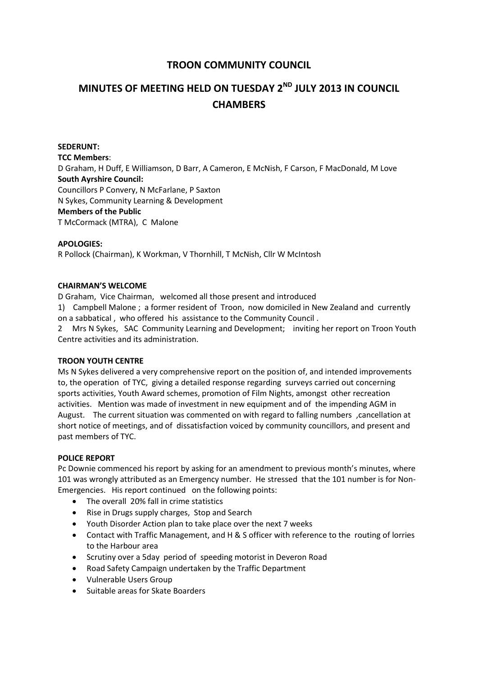# **TROON COMMUNITY COUNCIL**

# **MINUTES OF MEETING HELD ON TUESDAY 2ND JULY 2013 IN COUNCIL CHAMBERS**

## **SEDERUNT: TCC Members**: D Graham, H Duff, E Williamson, D Barr, A Cameron, E McNish, F Carson, F MacDonald, M Love **South Ayrshire Council:** Councillors P Convery, N McFarlane, P Saxton N Sykes, Community Learning & Development **Members of the Public** T McCormack (MTRA), C Malone

#### **APOLOGIES:**

R Pollock (Chairman), K Workman, V Thornhill, T McNish, Cllr W McIntosh

#### **CHAIRMAN'S WELCOME**

D Graham, Vice Chairman, welcomed all those present and introduced

1) Campbell Malone ; a former resident of Troon, now domiciled in New Zealand and currently on a sabbatical , who offered his assistance to the Community Council .

2 Mrs N Sykes, SAC Community Learning and Development; inviting her report on Troon Youth Centre activities and its administration.

#### **TROON YOUTH CENTRE**

Ms N Sykes delivered a very comprehensive report on the position of, and intended improvements to, the operation of TYC, giving a detailed response regarding surveys carried out concerning sports activities, Youth Award schemes, promotion of Film Nights, amongst other recreation activities. Mention was made of investment in new equipment and of the impending AGM in August. The current situation was commented on with regard to falling numbers ,cancellation at short notice of meetings, and of dissatisfaction voiced by community councillors, and present and past members of TYC.

#### **POLICE REPORT**

Pc Downie commenced his report by asking for an amendment to previous month's minutes, where 101 was wrongly attributed as an Emergency number. He stressed that the 101 number is for Non-Emergencies. His report continued on the following points:

- The overall 20% fall in crime statistics
- Rise in Drugs supply charges, Stop and Search
- Youth Disorder Action plan to take place over the next 7 weeks
- Contact with Traffic Management, and H & S officer with reference to the routing of lorries to the Harbour area
- Scrutiny over a 5day period of speeding motorist in Deveron Road
- Road Safety Campaign undertaken by the Traffic Department
- Vulnerable Users Group
- Suitable areas for Skate Boarders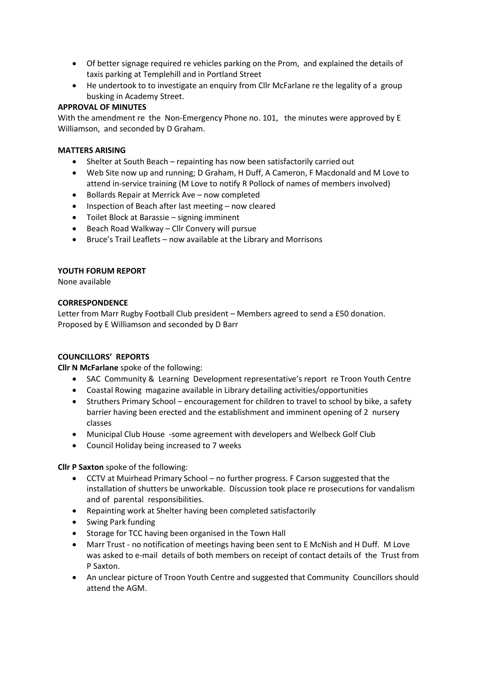- Of better signage required re vehicles parking on the Prom, and explained the details of taxis parking at Templehill and in Portland Street
- He undertook to to investigate an enquiry from Cllr McFarlane re the legality of a group busking in Academy Street.

## **APPROVAL OF MINUTES**

With the amendment re the Non-Emergency Phone no. 101, the minutes were approved by E Williamson, and seconded by D Graham.

## **MATTERS ARISING**

- Shelter at South Beach repainting has now been satisfactorily carried out
- Web Site now up and running; D Graham, H Duff, A Cameron, F Macdonald and M Love to attend in-service training (M Love to notify R Pollock of names of members involved)
- Bollards Repair at Merrick Ave now completed
- Inspection of Beach after last meeting now cleared
- Toilet Block at Barassie signing imminent
- Beach Road Walkway Cllr Convery will pursue
- Bruce's Trail Leaflets now available at the Library and Morrisons

## **YOUTH FORUM REPORT**

None available

## **CORRESPONDENCE**

Letter from Marr Rugby Football Club president – Members agreed to send a £50 donation. Proposed by E Williamson and seconded by D Barr

## **COUNCILLORS' REPORTS**

**Cllr N McFarlane** spoke of the following:

- SAC Community & Learning Development representative's report re Troon Youth Centre
- Coastal Rowing magazine available in Library detailing activities/opportunities
- Struthers Primary School encouragement for children to travel to school by bike, a safety barrier having been erected and the establishment and imminent opening of 2 nursery classes
- Municipal Club House -some agreement with developers and Welbeck Golf Club
- Council Holiday being increased to 7 weeks

**Cllr P Saxton** spoke of the following:

- CCTV at Muirhead Primary School no further progress. F Carson suggested that the installation of shutters be unworkable. Discussion took place re prosecutions for vandalism and of parental responsibilities.
- Repainting work at Shelter having been completed satisfactorily
- Swing Park funding
- Storage for TCC having been organised in the Town Hall
- Marr Trust no notification of meetings having been sent to E McNish and H Duff. M Love was asked to e-mail details of both members on receipt of contact details of the Trust from P Saxton.
- An unclear picture of Troon Youth Centre and suggested that Community Councillors should attend the AGM.